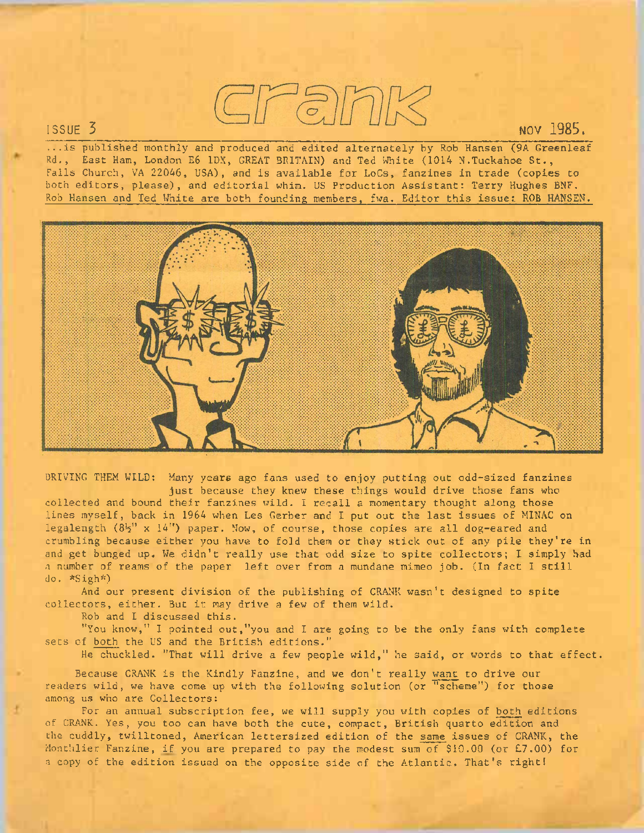

...is published monthly and produced and edited alternately by Rob Hansen (9A Greenleaf Rd., East Ham, London E6 1DX, GREAT BRITAIN) and Ted White (1014 N.Tuckahoe St., Falls Church, VA 22046, USA), and is available for LoCs, fanzines in trade (copies to both editors, please), and editorial whim. US Production Assistant: Terry Hughes BNF. Rob Hansen and Ted White are both founding members, fwa. Editor this issue:. ROB HANSEN.



DRIVING THEM WILD: Many years ago fans used to enjoy putting out odd-sized fanzines just because they knew these things would drive those fans who collected and bound their fanzines wild. I recall a momentary thought along those lines myself, back in <sup>1964</sup> when Les Gerber and I put out the last issues of MINAC on legalength  $(8\frac{1}{2}$ " x  $14"$ ) paper. Now, of course, those copies are all dog-eared and crumbling because either you have to fold them or they stick out of any pile they're in and get bunged up. We didn't really use that odd size to spite collectors; I simply had <sup>a</sup> number of reams of the paper left over from <sup>a</sup> mundane mimeo job. (In fact I still do. \*Sigh\*)

And our present division of the publishing of CRANK wasn't designed to spite collectors, either. But it may drive <sup>a</sup> few of them wild.

Rob and I discussed this.

"You know," I pointed out,"you and I are going to be the only fans with complete sets of both the US and the British editions."

He chuckled. "That will drive a few people wild," he said, or words to that effect.

Because CRANK is the Kindly Fanzine, and we don't really want to drive our readers wild, we have come up with the following solution (or "scheme") for those among us who are Collectors:

For an annual subscription fee, we will supply you with copies of both editions of CRANK. Yes, you too can have both the cute, compact, British quarto edition and the cuddly, twilltoned, American lettersized edition of the same issues of CRANK, the Monthlier Fanzine, if you are prepared to pay the modest sum of \$10.00 (or £7.00) for <sup>a</sup> copy of the edition issued on the opposite side of the Atlantic. That's right!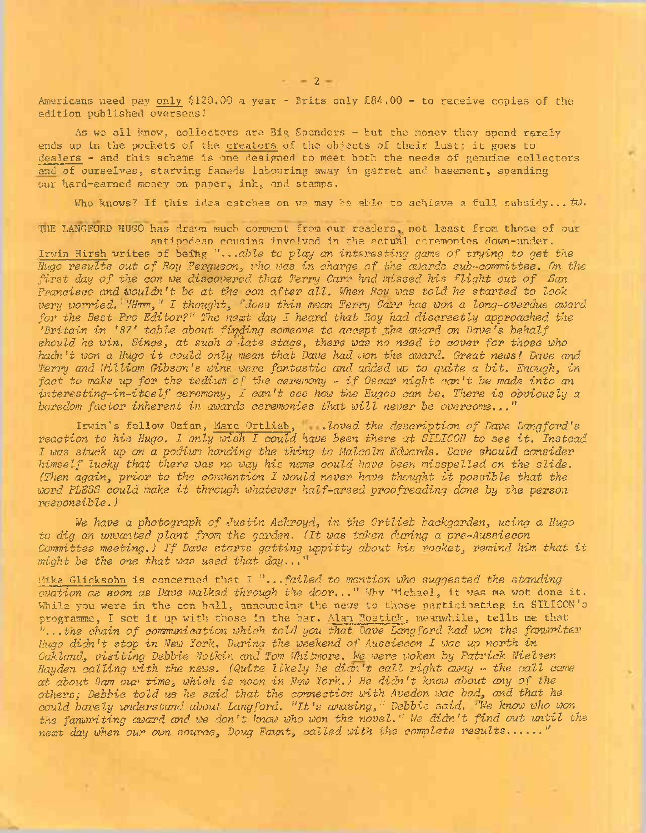Americans need pay only \$120.00 a year - Brits only £84.00 - to receive copies of the edition published overseas!

As we all know, collectors are Big Spenders - tut the money they spend rarely ends up in the pockets of the creators of the objects of their lust; it goes to dealers - and this scheme is one designed to meet both the needs of genuihe collectors and of ourselves, starving faneds labouring away in garret and basement, spending our hard-earned money on paper, ink, and stamps.

Who knows? If this idea catches on we may be able to achieve a full subsidy... tw.

THE LANGEORD HUGO has drawn much comment from our readers, not least from those of our antipodean cousins involved in the actual coremonies down-under.

Irwin Hirsh writes of being "...ab^e *to play an interesting game of trying to get the Hugo results out of Hoy Ferguson, who was in charge of the awards sub-committee. On the first day of the eon we discovered that Terry Carr had missed his flight out of .San Francisco and Wouldn't be at the con after all. When Ron was told he started to look very worried. ' 'ffimm, " I thought, "does this mean Terry Carr has won <sup>a</sup> long-overdue award for the Best Pro Editor?" The next day I heard that Roy had discreetly approached the 'Britain in '87' table about fluffing someone to accept .the award on Dave's behalf should he win. Since, at such a late stage, there was no need to cover for those who* hadn't won a Hugo it could only mean that Dave had won the award. Great news! Dave and *Terry and William Gibson's wine were fantastic and. added up to quite a bit. Enough, in* fact to make up for the tedium of the ceremony - if Oscar night can't be made into an *interesting-in-itself ceremony, I can't see how the Hugos can be. There is obviously <sup>a</sup> boredom factor inherent in awards ceremonies that will never be overcome..."*

Irwin's fellow Ozfan, Marc Ortlieb, *.loved the description of Dave Langford's reaction to his Hugo. I only wish I could have been there at SILICON to see it. Instead I was stuck up on <sup>a</sup> podium handing the thing to Malcolm Edwards. Dave should consider himself lucky that there was no way his name could have been misspelled on the slide. (Then again, prior to the convention I would never have thought it possible that the word PLESS could make it through whatever half-arsed proofreading done by the person responsible.)*

*We have <sup>a</sup> photograph of Justin Ackroyd, in the Ortlieb backgarden, using a Hugo to dig an unwanted plant from the garden. (It was taken during a pre-Aussiecon Committee meeting.) If Dave starts getting uppitty about his rocket, remind him that it might be the one that was used that day..."*

Mike Glicksohn is concerned that I *"...failed to mention who suggested the standing ovation as soon as Dave walked through the door...'" Why* Michael, it was me wot done it. While you were in the con hall, announcing the news to those participating in SILICON's programme, <sup>I</sup> set it up with those in the bar. Alan Bostick, meanwhile, tells me that *"...the chain of communication which told, you that Dave Langford had. won the fanwriter Hugo didn't stop in New York. During the weekend of Aussiecon I was up north in Oakland., visiting Debbie Notkin and Tom Whitmore. We were woken by Patrick Nielsen Hayden calling with the news. (Quite likely he didn't call right away - the call came at about 9am our time, which is noon in New York.) He didn't know about any of the others; Debbie told us he said that the connection with Avedon was bad, and that he could barely understand about Langford. "It's amazing," Debbie said. ''We know who won the fanwriting award and. we don't know who won the novel." We didn't find out until the next day when our own source, Doug Fount, called with the complete results............"*

 $-2=$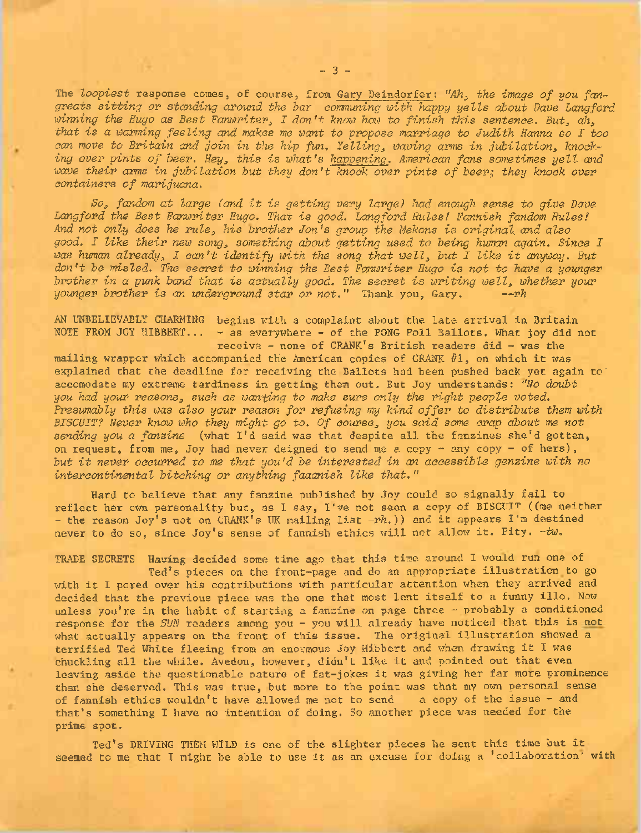The *loopiest* response comes, of course, from Gary Deindorfer: *"Ah, the image of you fangreats sitting or standing around the bar communing with happy yells about Dave Langford winning the Hugo as Best Fanwriter, I don't know how to finish this sentence. But, ah, that is <sup>a</sup> warming feeling and makes me want to propose marriage to Judith Hanna so I too can move to Britain and join in the hip fun. Felling, waving arms in jubilation, knocking over pints of beer. Hey, this is what's happening. American fans sometimes yell and wave their arms in jubilation but they don't knock over pints of beer;, they knock over containers of marijuana.*

*So, fandom at large (and it is getting very large) had enough sense to give Dane Langford the Best Fanwriter Hugo. That is good. Langford Rules! Fannish fandom Rules! And not only does he rule, his brother Jon's group the Mekons is original and also good. I like their new song, something about getting used to being human again. Since I was human already, I can't identify with, the song that well, but I like it anyway. But don't be misled. The secret to winning the Best Fonwriter Hugo is not to have a younger brother in a punk band that is actually good. The secret is writing well, whether your younger brother is an underground star or not."* Thank you, Gary. *—rh*

AN UNBELIEVABLY CHARMING begins with a complaint about the late arrival in Britain NOTE FROM JOY HIBBERT... - as everywhere - of the PONG Poll Ballots. What joy did not receive - none of CRANK's British readers did - was the

mailing wrapper which accompanied the American copies of CRANK  $#1$ , on which it was explained that the deadline for receiving the Ballots had been pushed back yet again to' accomodate my extreme tardiness in getting them out. But Joy understands: *''No doubt you had your reasons, such as wanting to make sure only the right people voted. Presumably this was also your reason for refusing my kind offer to distribute them with BISCUIT? Never know who they might go to. Of course, you said some crap about me not sending you <sup>a</sup> fanzine* (what I'<sup>d</sup> said was that despite all the fanzines she'<sup>d</sup> gotten, on request, from me, Joy had never deigned to send me a copy  $-$  any copy  $-$  of hers), *but it never occurred to me that you'd be interested in an accessible genzine with no intercontinental bitching or anything faaanish like that."*

Hard to believe that any fanzine published by Joy could so signally fail to reflect her own personality but, as I. say, I've not seen <sup>a</sup> copy of BISCUIT ((me neither - the reason Joy'<sup>s</sup> not on CRANK'<sup>s</sup> UK mailing list *-rh.))* and it appears I'<sup>m</sup> destined never to do so, since Joy'<sup>s</sup> sense of fannish ethics will not allow it. Pity. *-tw.*

TRADE SECRETS Having decided some time ago that this time around I would run one of Ted's pieces on the front-page and do an appropriate illustration to go with it I pored over his contributions with particular attention when they arrived and decided that the previous piece was the one that most lent itself to <sup>a</sup> funny illo. Now unless you're in the habit of starting a fanzine on page three  $-$  probably a conditioned response for the *SUN* readers among you - you will already have noticed that this is not what actually appears on the front of this issue. The original illustration showed a terrified Ted White fleeing from an enormous Joy Hibbert and when drawing it I was chuckling all the while. Avedon, however, didn't like it and pointed out that even leaving aside the questionable nature of fat-jokes it was giving her far more prominence than she deserved. This was true, but more to the point was that my own personal sense of fannish ethics wouldn't have allowed me not to send a copy of the issue - and of fannish ethics wouldn't have allowed me not to send that's something I have no intention of doing. So another piece was needed for the prime spot.

Ted'<sup>s</sup> DRIVING THEM WILD is one of the slighter pieces he sent this time but it seemed to me that I might be able to use it as an excuse for doing <sup>a</sup> 'collaboration' with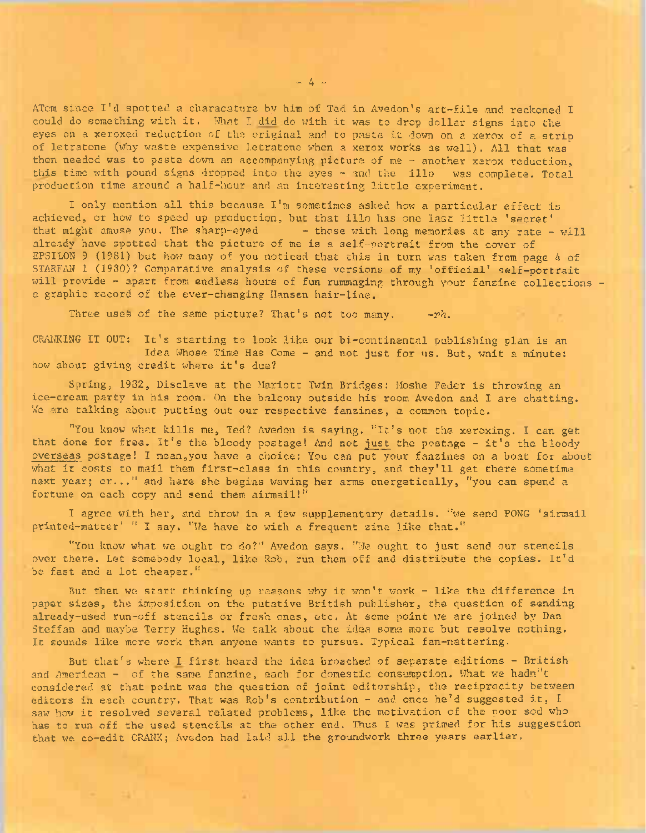ATom since I'<sup>d</sup> spotted <sup>a</sup> characature by him of Ted in Avedon's art-file and reckoned <sup>I</sup> could do something with it. What I did do with it was to drop dollar signs into the eyes on <sup>a</sup> xeroxed reduction of the original and to paste it down on <sup>a</sup> xerox of <sup>a</sup> strip of letratone (why waste expensive letratone when a xerox works as well). All that was then needed was to paste down an accompanying picture of me - another xerox reduction, this time with pound signs dropped into the eyes - and the illo was complete. Total production time around <sup>a</sup> half-hour and an interesting little experiment.

I only mention all this because I'm sometimes asked how a particular effect is achieved, or how to speed up production, but that illo has one last little 'secret' that might amuse you. The sharp-eyed  $-$  those with long memories at any rate - will already have spotted that the picture of me is a self-portrait from the cover of EPSILON <sup>9</sup> (1981) but how many of you noticed that this in turn was taken from page <sup>4</sup> of STARFAN <sup>1</sup> (1980)? Comparative analysis of these versions of my 'official' self-portrait will provide - apart from endless hours of fun rummaging through your fanzine collections a graphic record of the ever-changing Hansen hair-line.

Three uses of the same picture? That's not too many,  $-rh$ .

CRANKING IT OUT: It's starting to look like our bi-continental publishing plan is an Idea Whose Time Has Come - and not just for us. But, wait a minute: how about giving credit where it's due?

Spring, 1932, Disclave at the Mariott Twin Bridges: Moshe Feder is throwing an ice-cream party in his room. On the balcony outside his room Avedon and I are chatting. We are talking about putting out our respective fanzines, a common topic.

"You know what kills me, Ted? Avedon is saying. "It's not the xeroxing. I can get that done for free. It's the bloody postage! And not just the postage - it's the bloody overseas postage! I mean,you have a choice: You can put your fanzines on a boat for about what it costs to mail them first-class in this country, and they'll get there sometime next year; or..." and here she begins waving her arms energetically, "you can spend <sup>a</sup> fortune on each copy and send them airmail!"

I agree with her, and throw in a few supplementary details, "we send PONG 'airmail printed-matter' " I say. "We have to with a frequent zine like that."

"You know what we ought to do?" Avedon says. "We ought to just send our stencils over there. Let somebody local, like Rob, run them off and distribute the copies. It'd be fast and a lot cheaper."

But then we start thinking up reasons why it won't work - like the difference in paper sizes, the imposition on the putative British publisher, the question of sending already-used run-off stencils or fresh ones, etc. At some point we are joined by Dan Steffan and maybe Terry Hughes. We talk about the idea some more but resolve nothing. It sounds like more work than anyone wants to pursue. Typical fan-nattering.

But that's where I first heard the idea broached of separate editions - British and American - of the same fanzine, each for domestic consumption. What we hadn"t considered at that point was the question of joint editorship, the reciprocity between editors in each country. That was Rob's contribution - and once he'd suggested it,  $I$ saw how it resolved several related problems, like the motivation of the poor sod who has to run off the used stencils at the other end. Thus I was primed for his suggestion that we co-edit CRANK; Avedon had laid all the groundwork three years earlier.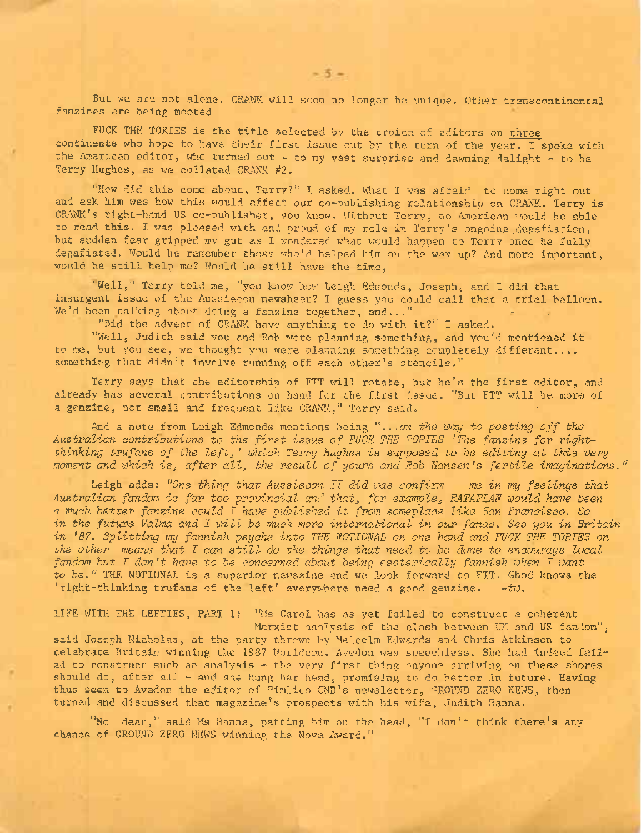But we are not alone. CRANK will soon no longer be unique. Other transcontinental fanzines are being mooted

FUCK THE TORIES is the title selected by the troica of editors on three continents who hope to have their first issue out by the turn of the year. I spoke with the American editor, who turned out  $-$  to my vast surprise and dawning delight  $-$  to be Terry Hughes, as we collated CRANK #2.

'"How did this come about, Terry?" I asked. What I was afraid to come right out and ask him was how this would affect our co-publishing relationship on CRANK. Terry ia CRANK's right-hand US co-publisher, you know. Without Terry, no American would be able to read this. I was pleased with and proud of my role in Terry's ongoing .degafiation, but sudden fear gripped my gut as I wondered what would happen to Terry once he fully degafiated. Would he remember those who'd helped him on the way up? And more important, would he still help me? Would he still have the time,

'Well," Terry told me, ''you know how Leigh Edmonds, Joseph, and I did that insurgent issue of the Aussiecon newsheet? I guess you could call that <sup>a</sup> trial balloon. We'd been talking about doing a fanzine together, and..."

"Did the advent of CRANK have anything to do with it?" I asked.

"Well, Judith said you and Rob were planning something, and you'd mentioned it to me, but you see, we thought you were planning something completely different.... something that didn't involve running off each other's stencils."

Terry says that the editorship of FTT will rotate, but he's the first editor, and already has several contributions on hand for the first issue. "But FTT will be more of a genzine, not small and frequent like CRANK," Terry said.

And <sup>a</sup> note from Leigh Edmonds mentions being ". . *.on the way to posting off the Australian contributions to the first issue of FUCK THE TORIES "The fanzine for rightthinking trufans of the left<sup>3</sup> ' which Terry Hughes is supposed to he editing at this very moment and which is<sup>3</sup> after all, the result of yours and Rob Hansen's fertile imaginations."*

Leigh adds: *''One thing that Aussiecon II did was confirm me in my feelings that Australian fandom is far too provincial, and that, for example, RATAPLAN would have been <sup>a</sup> much better fanzine could I have published it from someplace like San Francisco. So in the future Valma and I will be much more international in our fanac. See you in Britain in '87. Splitting my fannish psyche into THE NOTIONAL on one hand and FUCK THE TORIES on the other means that I can still do the things that need to be done to encourage local fandom but I don't have to be concerned about being esoterically fannish when I want to be."* THE NOTIONAL is a superior newszine and we look forward to FTT. Ghod knows the 'right-thinking trufans of the left' everywhere need <sup>a</sup> good genzine. *-tw.*

LIFE WITH THE LEFTIES, PART 1: "Ms Carol has as yet failed to construct a coherent Marxist analysis of the clash between UK and US fandom", said Joseph Nicholas, at the party throw. by Malcolm Edwards and. Chris Atkinson to celebrate Britain winning the <sup>1987</sup> Worldcon. Avedon was speechless. She had indeed failed to construct such an analysis - the very first thing anyone arriving on these shores should do, after all - and she hung her head, promising to do better in future. Having

turned and discussed that magazine's prospects with his wife, Judith Hanna.

"No dear," said Ms Hanna, patting him on the head, "I don't think there's any chance of GROUND ZERO NEWS winning the Nova Award."

thus seen to Avedon the editor of Pimlico CND's newsletter, GROUND ZERO NEWS, then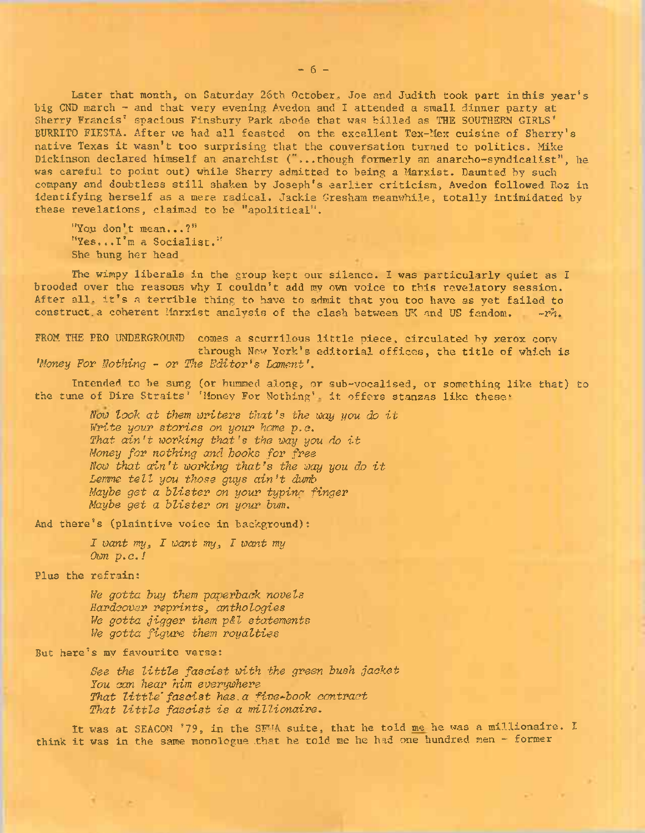Later that month, on Saturday 26th October, Joe and Judith took part in this year's big CND march - and that very evening Avedon and I attended a small dinner party at Sherry Francis' spacious Finsbury Park abode that was billed as THE SOUTHERN GIRLS' BURRITO FIESTA. After we had all feasted on the excellent Tex-Mex cuisine of Sherry's native Texas it wasn't too surprising that the conversation turned to politics. Mike Dickinson declared himself an anarchist ("...though formerly an anarcho-syndicalist", he was careful to point out) while Sherry admitted to being a Marxist. Daunted by such company and doubtless still shaken by Joseph's earlier criticism, Avedon followed Roz in identifying herself as a mere radical. Jackie Gresham meanwhile, totally intimidated by these revelations, claimed to be "apolitical".

"You don't mean...?" "Yes...I'<sup>m</sup> a Socialist." She hung her head

The wimpy liberals in the group kept our silence. I was particularly quiet as I brooded over the reasons why I couldn't add my own voice to this revelatory session. After all. it'<sup>s</sup> <sup>a</sup> terrible thing to have to admit that you too have as yet failed to construct, a coherent Marxist analysis of the clash between UK and US fandom.  $-rn$ .

FROM THE PRO UNDERGROUND comes a scurrilous little piece, circulated by xerox copy through New York'<sup>s</sup> editorial offices, the title of which is *'Money For Nothing - or The Editor's Lament'.*

Intended to be sung (or hummed along, or sub-vocalised, or something like that) to the tune of Dire Straits' 'Money For Nothing', it offers stanzas like these:

*Now look at them writers that'<sup>s</sup> the way you do it Write your stories on your home p.e. That ain't working that'<sup>s</sup> the way you do it Money for nothing and books for free Now that ain't working that'<sup>s</sup> the way you do it Lemme tell you those guys ain't dumb Maybe get a blister on your typing finger Maybe get a blister on your bum.*

And there's (plaintive voice in background):

*I want my<sup>3</sup> I want my<sup>3</sup> I want my Own p. c.!*

Plus the refrain:

T/e *gotta buy them paperback novels Hardcover reprints<sup>3</sup> anthologies We gotta jigger them p&l statements lie gotta figure them royalties*

But here's my favourite verse:

*See the little fascist with the green bush jacket You can hear him everywhere That little" fascist has. a five-book contract That little fascist is <sup>a</sup> millionaire.*

It was at SEACON ?79, in the SWA suite, that he told me he was a millionaire. I think it was in the same monologue .that he told me he had one hundred, men - former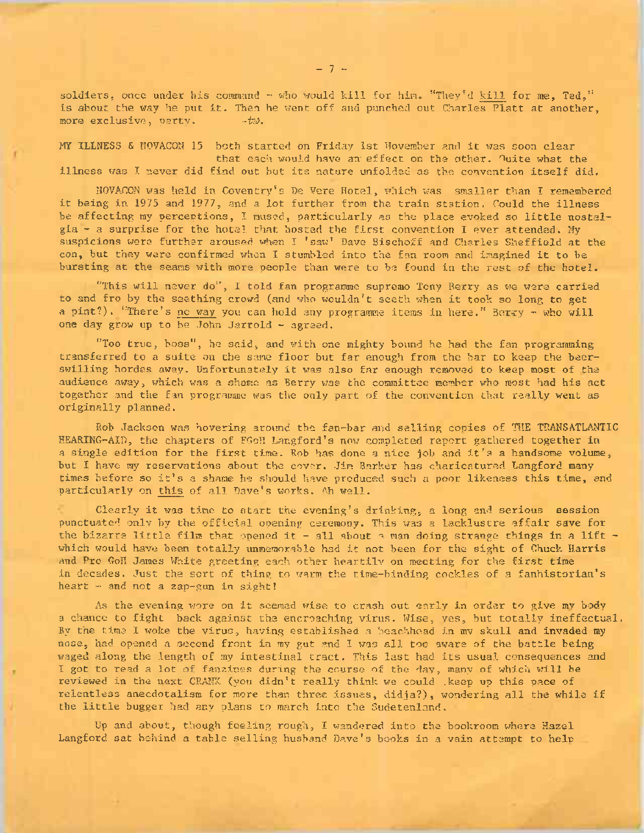soldiers, once under his command  $-$  who would kill for him. "They'd kill for me, Ted," is about the way he put it. Then he went off and punched out Charles Platt at another, more exclusive, party,  $+tz$ . more exclusive, party.

MY ILLNESS & NOVACON <sup>15</sup> both started on Friday 1st November and it was soon clear that each would have an effect on the other. Ouite what the illness was I never did find out but its nature unfolded as the convention itself did.

NOVACON was held in Coventry's Be Vere Hotel, which was smaller than I remembered it being in <sup>1975</sup> and 1977, and <sup>a</sup> lot further from the train station. Could the illness be affecting my perceptions, I mused, particularly as the place evoked so little nostalgia - <sup>a</sup> surprise for the hotel that hosted the first convention I ever attended. My suspicions were further aroused when I 'saw' Dave Bischoff and Charles Sheffield at the con, but they were confirmed when <sup>I</sup> stumbled into the fan room and imagined it to be bursting at the seams with more people than were to be found in the rest of the hotel.

"This will never do", I told fan programme supremo Tony Berry as we were carried to and fro by the seething crowd (and who wouldn't seeth when it took so long to get a pint?). "There's no way you can hold any programme items in here." Berry - who will one day grow up to be John Jarrold - agreed.

"Too true, boss", he said, and with one mighty bound he had the fan programming transferred to a suite on the same floor but far enough from the bar to keep the beerswilling hordes away. Unfortunately it was also far enough removed to keep most of the audience away, which was a shame as Berry was the committee member who most had his act together and the fan programme was the only part of the convention that really went as originally planned.

Rob Jackson was hovering around the fan-bar and selling copies of THE TRANSATLANTIC HEARING-AID, the chapters of FGoH Langford's now completed report gathered together in <sup>a</sup> single edition for the first time. Rob has done <sup>a</sup> nice job and it'<sup>s</sup> <sup>a</sup> handsome volume, but I have my reservations about the cover. Jim Barker has charicatured Langford many times before so it'<sup>s</sup> <sup>a</sup> shame he should have produced such <sup>a</sup> poor likeness this time, and particularly on this of all Dave's works. Ah well.

Clearly it was time to start the evening'<sup>s</sup> drinking, <sup>a</sup> long and serious session punctuated only by the official opening ceremony. This was a lacklustre affair save for the bizarre little film that opened it - all about a man doing strange things in a lift which would have been totally unmemorable had it not been for the sight of Chuck Harris and Pro Goll James White greeting each other heartily on meeting for the first time in decades. Just the sort of thing to warm the time-binding cockles of a fanhistorian's heart  $-$  and not a zap-gun in sight!

As the evening wore on it seemed wise to crash out early in order to give my body a chance to fight back against the encroaching virus. Wise, yes, but totally ineffectual. By the time I woke the virus, having established a beachhead in mv skull and invaded my nose, had opened <sup>a</sup> second front in my gut and I was all too aware of the battle being waged along the length of my intestinal tract. This last had its usual consequences and I got to read a lot of fanzines during the course of the day, many of which will be reviewed in the next CRANK (you didn't really think we could .keep up this pace of relentless anecdotalism for more than three issues, didja?), wondering all the while if the little bugger had any plans to march into the Sudetenland.

Up and about, though feeling rough, I wandered into the bookroom where Hazel Langford sat behind a table selling husband Dave's books in a vain attempt to help